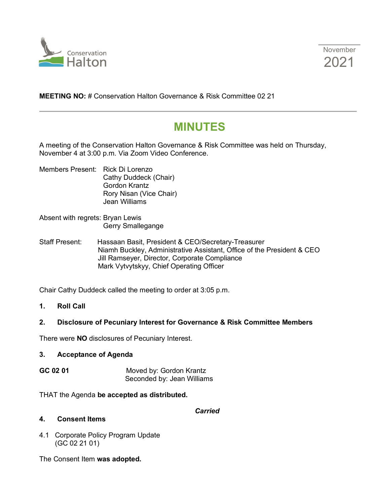



**MEETING NO:** # Conservation Halton Governance & Risk Committee 02 21

# **MINUTES**

A meeting of the Conservation Halton Governance & Risk Committee was held on Thursday, November 4 at 3:00 p.m. Via Zoom Video Conference.

- Members Present: Rick Di Lorenzo Cathy Duddeck (Chair) Gordon Krantz Rory Nisan (Vice Chair) Jean Williams
- Absent with regrets: Bryan Lewis Gerry Smallegange
- Staff Present: Hassaan Basit, President & CEO/Secretary-Treasurer Niamh Buckley, Administrative Assistant, Office of the President & CEO Jill Ramseyer, Director, Corporate Compliance Mark Vytvytskyy, Chief Operating Officer

Chair Cathy Duddeck called the meeting to order at 3:05 p.m.

**1. Roll Call**

### **2. Disclosure of Pecuniary Interest for Governance & Risk Committee Members**

There were **NO** disclosures of Pecuniary Interest.

#### **3. Acceptance of Agenda**

**GC 02 01** Moved by: Gordon Krantz Seconded by: Jean Williams

THAT the Agenda **be accepted as distributed.**

#### *Carried*

#### **4. Consent Items**

4.1 Corporate Policy Program Update (GC 02 21 01)

The Consent Item **was adopted.**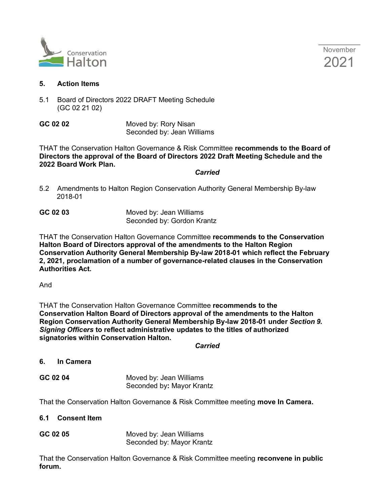

November 2021

#### **5. Action Items**

5.1 Board of Directors 2022 DRAFT Meeting Schedule (GC 02 21 02)

**GC 02 02** Moved by: Rory Nisan Seconded by: Jean Williams

THAT the Conservation Halton Governance & Risk Committee **recommends to the Board of Directors the approval of the Board of Directors 2022 Draft Meeting Schedule and the 2022 Board Work Plan.**

*Carried*

5.2 Amendments to Halton Region Conservation Authority General Membership By-law 2018-01

**GC 02 03** Moved by: Jean Williams Seconded by: Gordon Krantz

THAT the Conservation Halton Governance Committee **recommends to the Conservation Halton Board of Directors approval of the amendments to the Halton Region Conservation Authority General Membership By-law 2018-01 which reflect the February 2, 2021, proclamation of a number of governance-related clauses in the Conservation Authorities Act.**

And

THAT the Conservation Halton Governance Committee **recommends to the Conservation Halton Board of Directors approval of the amendments to the Halton Region Conservation Authority General Membership By-law 2018-01 under** *Section 9. Signing Officers* **to reflect administrative updates to the titles of authorized signatories within Conservation Halton.**

*Carried*

#### **6. In Camera**

**GC 02 04** Moved by: Jean Williams Seconded by**:** Mayor Krantz

That the Conservation Halton Governance & Risk Committee meeting **move In Camera.**

- **6.1 Consent Item**
- **GC 02 05** Moved by: Jean Williams Seconded by: Mayor Krantz

That the Conservation Halton Governance & Risk Committee meeting **reconvene in public forum.**